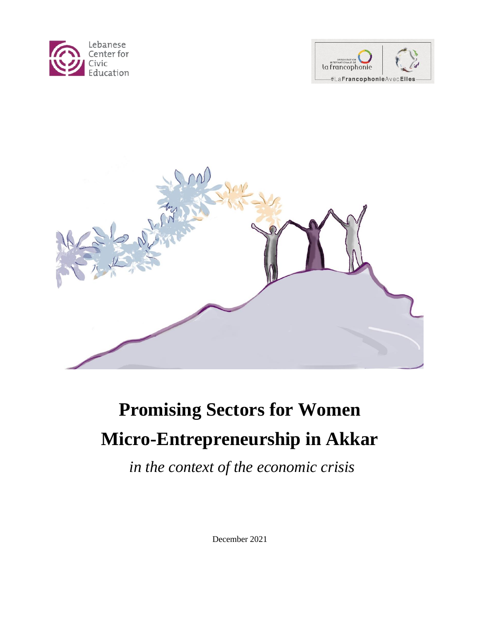





# **Promising Sectors for Women Micro-Entrepreneurship in Akkar**

*in the context of the economic crisis*

December 2021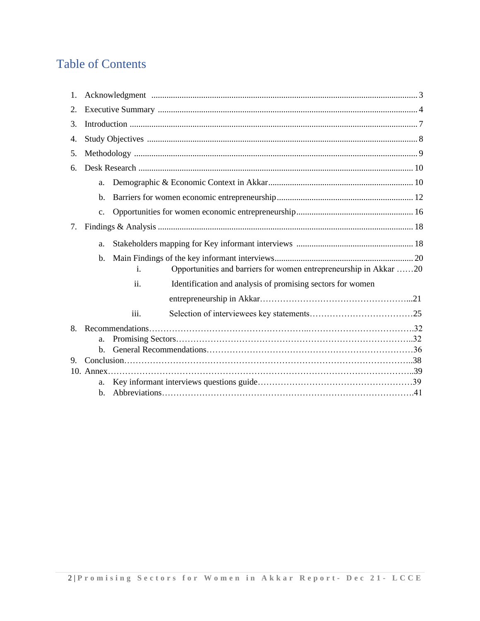# Table of Contents

| 1. |                |      |                                                                   |  |  |
|----|----------------|------|-------------------------------------------------------------------|--|--|
| 2. |                |      |                                                                   |  |  |
| 3. |                |      |                                                                   |  |  |
| 4. |                |      |                                                                   |  |  |
| 5. |                |      |                                                                   |  |  |
| б. |                |      |                                                                   |  |  |
|    | a.             |      |                                                                   |  |  |
|    | $\mathbf{b}$ . |      |                                                                   |  |  |
|    | C <sub>1</sub> |      |                                                                   |  |  |
| 7. |                |      |                                                                   |  |  |
|    | a.             |      |                                                                   |  |  |
|    | $\mathbf{b}$ . | i.   | Opportunities and barriers for women entrepreneurship in Akkar 20 |  |  |
|    |                | ii.  | Identification and analysis of promising sectors for women        |  |  |
|    |                |      |                                                                   |  |  |
|    |                | iii. |                                                                   |  |  |
| 8. |                |      |                                                                   |  |  |
|    | a.             |      |                                                                   |  |  |
|    | $\mathbf{b}$ . |      |                                                                   |  |  |
| 9. |                |      |                                                                   |  |  |
|    |                |      |                                                                   |  |  |
|    | a.             |      |                                                                   |  |  |
|    | $h_{-}$        |      |                                                                   |  |  |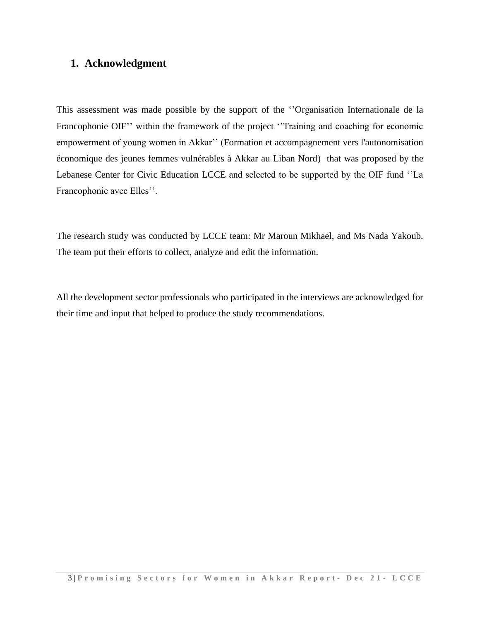# **1. Acknowledgment**

This assessment was made possible by the support of the ''Organisation Internationale de la Francophonie OIF" within the framework of the project "Training and coaching for economic empowerment of young women in Akkar'' (Formation et accompagnement vers l'autonomisation économique des jeunes femmes vulnérables à Akkar au Liban Nord) that was proposed by the Lebanese Center for Civic Education LCCE and selected to be supported by the OIF fund ''La Francophonie avec Elles''.

The research study was conducted by LCCE team: Mr Maroun Mikhael, and Ms Nada Yakoub. The team put their efforts to collect, analyze and edit the information.

All the development sector professionals who participated in the interviews are acknowledged for their time and input that helped to produce the study recommendations.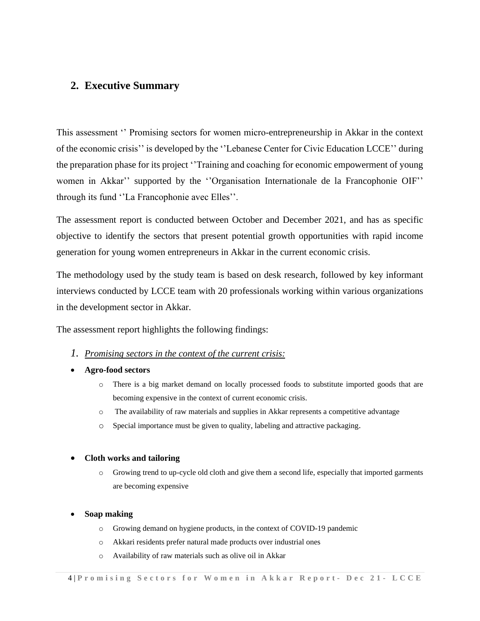# **2. Executive Summary**

This assessment '' Promising sectors for women micro-entrepreneurship in Akkar in the context of the economic crisis'' is developed by the ''Lebanese Center for Civic Education LCCE'' during the preparation phase for its project ''Training and coaching for economic empowerment of young women in Akkar'' supported by the ''Organisation Internationale de la Francophonie OIF'' through its fund ''La Francophonie avec Elles''.

The assessment report is conducted between October and December 2021, and has as specific objective to identify the sectors that present potential growth opportunities with rapid income generation for young women entrepreneurs in Akkar in the current economic crisis.

The methodology used by the study team is based on desk research, followed by key informant interviews conducted by LCCE team with 20 professionals working within various organizations in the development sector in Akkar.

The assessment report highlights the following findings:

# *1. Promising sectors in the context of the current crisis:*

#### • **Agro-food sectors**

- o There is a big market demand on locally processed foods to substitute imported goods that are becoming expensive in the context of current economic crisis.
- o The availability of raw materials and supplies in Akkar represents a competitive advantage
- o Special importance must be given to quality, labeling and attractive packaging.

#### • **Cloth works and tailoring**

o Growing trend to up-cycle old cloth and give them a second life, especially that imported garments are becoming expensive

#### • **Soap making**

- o Growing demand on hygiene products, in the context of COVID-19 pandemic
- o Akkari residents prefer natural made products over industrial ones
- o Availability of raw materials such as olive oil in Akkar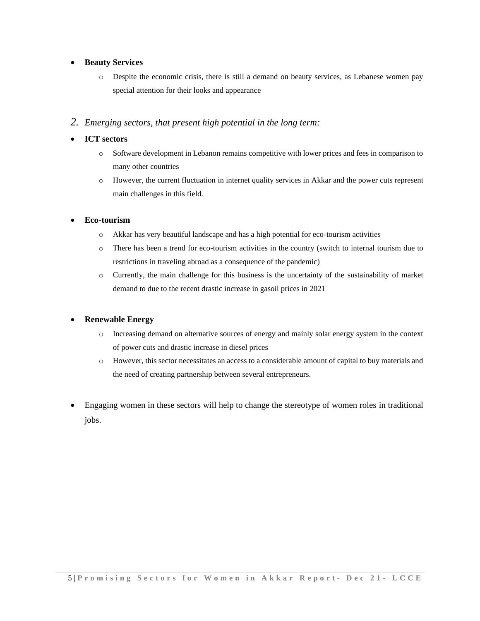#### • **Beauty Services**

o Despite the economic crisis, there is still a demand on beauty services, as Lebanese women pay special attention for their looks and appearance

## *2. Emerging sectors, that present high potential in the long term:*

#### • **ICT sectors**

- o Software development in Lebanon remains competitive with lower prices and fees in comparison to many other countries
- o However, the current fluctuation in internet quality services in Akkar and the power cuts represent main challenges in this field.

#### • **Eco-tourism**

- o Akkar has very beautiful landscape and has a high potential for eco-tourism activities
- o There has been a trend for eco-tourism activities in the country (switch to internal tourism due to restrictions in traveling abroad as a consequence of the pandemic)
- o Currently, the main challenge for this business is the uncertainty of the sustainability of market demand to due to the recent drastic increase in gasoil prices in 2021

# • **Renewable Energy**

- o Increasing demand on alternative sources of energy and mainly solar energy system in the context of power cuts and drastic increase in diesel prices
- o However, this sector necessitates an access to a considerable amount of capital to buy materials and the need of creating partnership between several entrepreneurs.
- Engaging women in these sectors will help to change the stereotype of women roles in traditional jobs.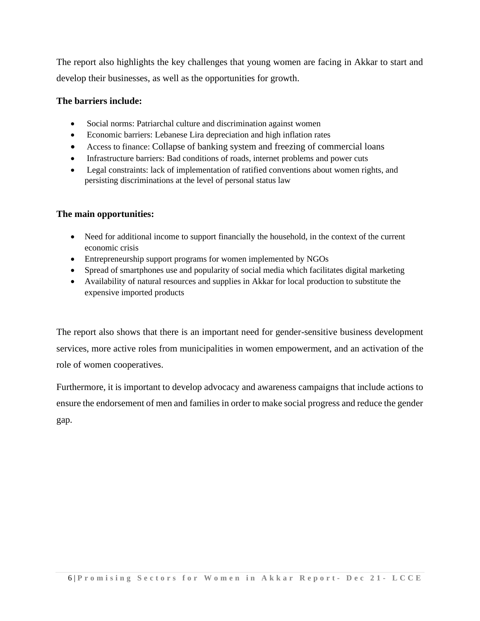The report also highlights the key challenges that young women are facing in Akkar to start and develop their businesses, as well as the opportunities for growth.

# **The barriers include:**

- Social norms: Patriarchal culture and discrimination against women
- Economic barriers: Lebanese Lira depreciation and high inflation rates
- Access to finance: Collapse of banking system and freezing of commercial loans
- Infrastructure barriers: Bad conditions of roads, internet problems and power cuts
- Legal constraints: lack of implementation of ratified conventions about women rights, and persisting discriminations at the level of personal status law

# **The main opportunities:**

- Need for additional income to support financially the household, in the context of the current economic crisis
- Entrepreneurship support programs for women implemented by NGOs
- Spread of smartphones use and popularity of social media which facilitates digital marketing
- Availability of natural resources and supplies in Akkar for local production to substitute the expensive imported products

The report also shows that there is an important need for gender-sensitive business development services, more active roles from municipalities in women empowerment, and an activation of the role of women cooperatives.

Furthermore, it is important to develop advocacy and awareness campaigns that include actions to ensure the endorsement of men and families in order to make social progress and reduce the gender gap.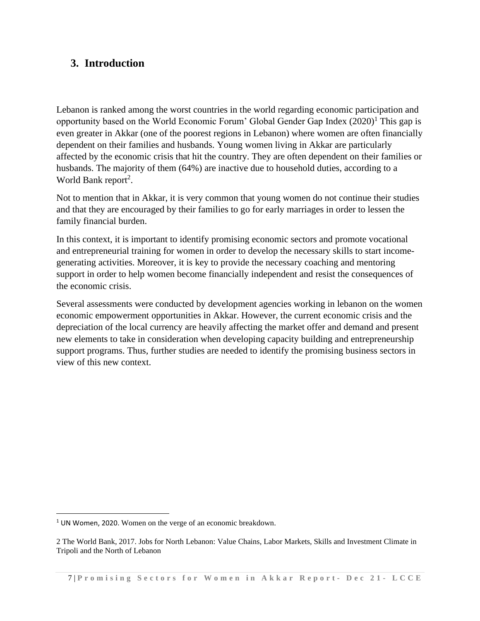# **3. Introduction**

Lebanon is ranked among the worst countries in the world regarding economic participation and opportunity based on the World Economic Forum' Global Gender Gap Index  $(2020)^1$  This gap is even greater in Akkar (one of the poorest regions in Lebanon) where women are often financially dependent on their families and husbands. Young women living in Akkar are particularly affected by the economic crisis that hit the country. They are often dependent on their families or husbands. The majority of them (64%) are inactive due to household duties, according to a World Bank report<sup>2</sup>.

Not to mention that in Akkar, it is very common that young women do not continue their studies and that they are encouraged by their families to go for early marriages in order to lessen the family financial burden.

In this context, it is important to identify promising economic sectors and promote vocational and entrepreneurial training for women in order to develop the necessary skills to start incomegenerating activities. Moreover, it is key to provide the necessary coaching and mentoring support in order to help women become financially independent and resist the consequences of the economic crisis.

Several assessments were conducted by development agencies working in lebanon on the women economic empowerment opportunities in Akkar. However, the current economic crisis and the depreciation of the local currency are heavily affecting the market offer and demand and present new elements to take in consideration when developing capacity building and entrepreneurship support programs. Thus, further studies are needed to identify the promising business sectors in view of this new context.

<sup>&</sup>lt;sup>1</sup> UN Women, 2020. Women on the verge of an economic breakdown.

<sup>2</sup> The World Bank, 2017. Jobs for North Lebanon: Value Chains, Labor Markets, Skills and Investment Climate in Tripoli and the North of Lebanon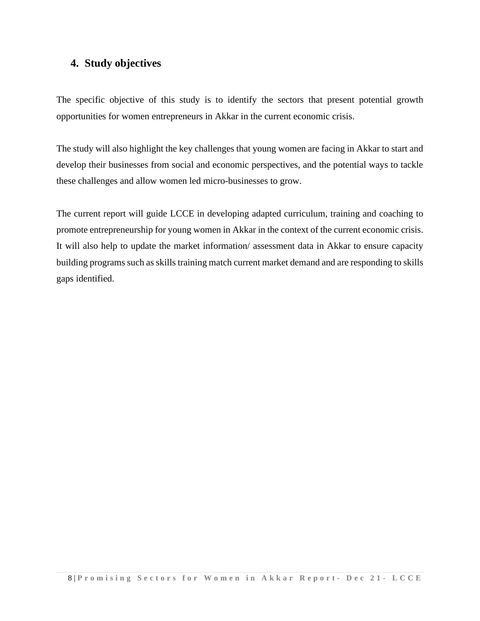# **4. Study objectives**

The specific objective of this study is to identify the sectors that present potential growth opportunities for women entrepreneurs in Akkar in the current economic crisis.

The study will also highlight the key challenges that young women are facing in Akkar to start and develop their businesses from social and economic perspectives, and the potential ways to tackle these challenges and allow women led micro-businesses to grow.

The current report will guide LCCE in developing adapted curriculum, training and coaching to promote entrepreneurship for young women in Akkar in the context of the current economic crisis. It will also help to update the market information/ assessment data in Akkar to ensure capacity building programs such as skills training match current market demand and are responding to skills gaps identified.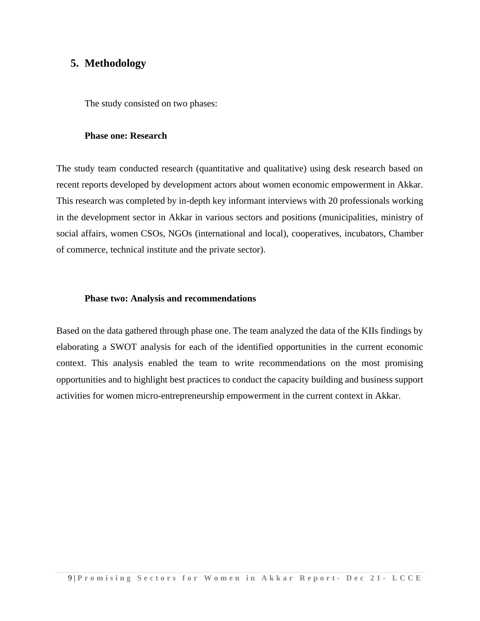# **5. Methodology**

The study consisted on two phases:

#### **Phase one: Research**

The study team conducted research (quantitative and qualitative) using desk research based on recent reports developed by development actors about women economic empowerment in Akkar. This research was completed by in-depth key informant interviews with 20 professionals working in the development sector in Akkar in various sectors and positions (municipalities, ministry of social affairs, women CSOs, NGOs (international and local), cooperatives, incubators, Chamber of commerce, technical institute and the private sector).

#### **Phase two: Analysis and recommendations**

Based on the data gathered through phase one. The team analyzed the data of the KIIs findings by elaborating a SWOT analysis for each of the identified opportunities in the current economic context. This analysis enabled the team to write recommendations on the most promising opportunities and to highlight best practices to conduct the capacity building and business support activities for women micro-entrepreneurship empowerment in the current context in Akkar.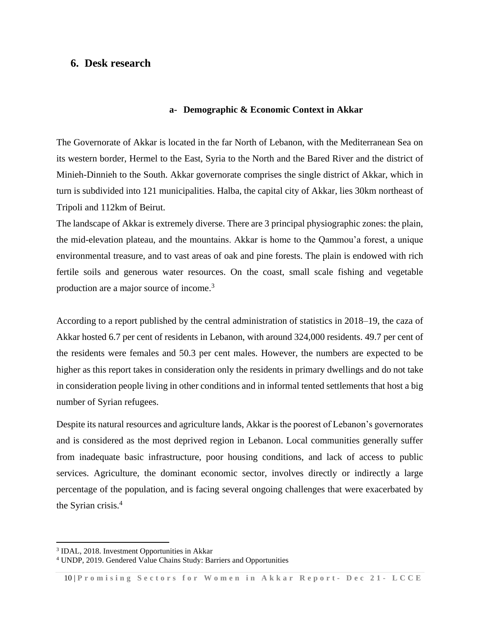# **6. Desk research**

#### **a- Demographic & Economic Context in Akkar**

The Governorate of Akkar is located in the far North of Lebanon, with the Mediterranean Sea on its western border, Hermel to the East, Syria to the North and the Bared River and the district of Minieh-Dinnieh to the South. Akkar governorate comprises the single [district](https://en.wikipedia.org/wiki/Districts_of_Lebanon) of [Akkar,](https://en.wikipedia.org/wiki/Akkar_District) which in turn is subdivided into 121 municipalities. Halba, the capital city of Akkar, lies 30km northeast of Tripoli and 112km of Beirut.

The landscape of Akkar is extremely diverse. There are 3 principal physiographic zones: the plain, the mid-elevation plateau, and the mountains. Akkar is home to the Qammou'a forest, a unique environmental treasure, and to vast areas of oak and pine forests. The plain is endowed with rich fertile soils and generous water resources. On the coast, small scale fishing and vegetable production are a major source of income.<sup>3</sup>

According to a report published by the central administration of statistics in 2018–19, the caza of Akkar hosted 6.7 per cent of residents in Lebanon, with around 324,000 residents. 49.7 per cent of the residents were females and 50.3 per cent males. However, the numbers are expected to be higher as this report takes in consideration only the residents in primary dwellings and do not take in consideration people living in other conditions and in informal tented settlements that host a big number of Syrian refugees.

Despite its natural resources and agriculture lands, Akkar is the poorest of Lebanon's governorates and is considered as the most deprived region in Lebanon. Local communities generally suffer from inadequate basic infrastructure, poor housing conditions, and lack of access to public services. Agriculture, the dominant economic sector, involves directly or indirectly a large percentage of the population, and is facing several ongoing challenges that were exacerbated by the Syrian crisis.<sup>4</sup>

<sup>3</sup> IDAL, 2018. Investment Opportunities in Akkar

<sup>4</sup> UNDP, 2019. Gendered Value Chains Study: Barriers and Opportunities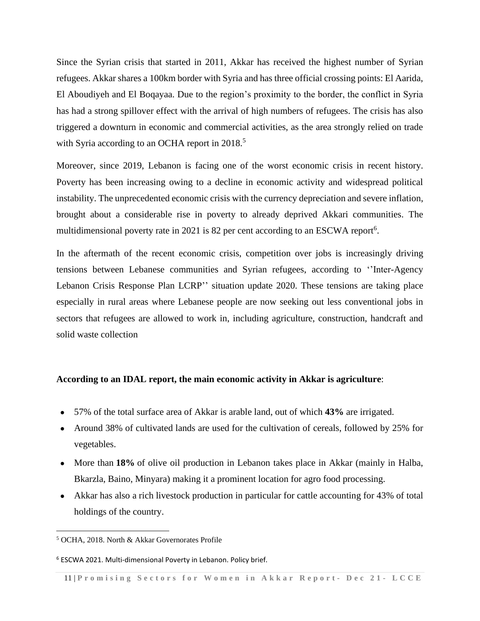Since the Syrian crisis that started in 2011, Akkar has received the highest number of Syrian refugees. Akkar shares a 100km border with Syria and has three official crossing points: El Aarida, El Aboudiyeh and El Boqayaa. Due to the region's proximity to the border, the conflict in Syria has had a strong spillover effect with the arrival of high numbers of refugees. The crisis has also triggered a downturn in economic and commercial activities, as the area strongly relied on trade with Syria according to an OCHA report in 2018.<sup>5</sup>

Moreover, since 2019, Lebanon is facing one of the worst economic crisis in recent history. Poverty has been increasing owing to a decline in economic activity and widespread political instability. The unprecedented economic crisis with the currency depreciation and severe inflation, brought about a considerable rise in poverty to already deprived Akkari communities. The multidimensional poverty rate in 2021 is 82 per cent according to an ESCWA report<sup>6</sup>.

In the aftermath of the recent economic crisis, competition over jobs is increasingly driving tensions between Lebanese communities and Syrian refugees, according to ''Inter-Agency Lebanon Crisis Response Plan LCRP'' situation update 2020. These tensions are taking place especially in rural areas where Lebanese people are now seeking out less conventional jobs in sectors that refugees are allowed to work in, including agriculture, construction, handcraft and solid waste collection

#### **According to an IDAL report, the main economic activity in Akkar is agriculture**:

- 57% of the total surface area of Akkar is arable land, out of which **43%** are irrigated.
- Around 38% of cultivated lands are used for the cultivation of cereals, followed by 25% for vegetables.
- More than 18% of olive oil production in Lebanon takes place in Akkar (mainly in Halba, Bkarzla, Baino, Minyara) making it a prominent location for agro food processing.
- Akkar has also a rich livestock production in particular for cattle accounting for 43% of total holdings of the country.

<sup>5</sup> [OCHA,](https://reliefweb.int/sites/reliefweb.int/files/resources/North-Akkar_G-Profile_181008.pdf) 2018. North & Akkar Governorates Profile

<sup>6</sup> ESCWA 2021. Multi-dimensional Poverty in Lebanon. Policy brief.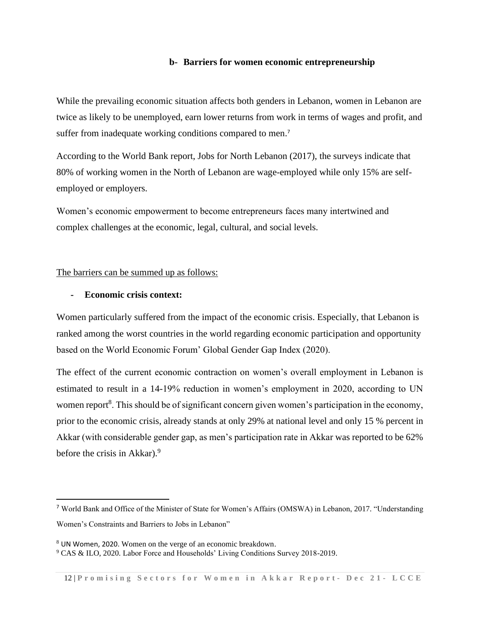# **b- Barriers for women economic entrepreneurship**

While the prevailing economic situation affects both genders in Lebanon, women in Lebanon are twice as likely to be unemployed, earn lower returns from work in terms of wages and profit, and suffer from inadequate working conditions compared to men.<sup>7</sup>

According to the World Bank report, Jobs for North Lebanon (2017), the surveys indicate that 80% of working women in the North of Lebanon are wage-employed while only 15% are selfemployed or employers.

Women's economic empowerment to become entrepreneurs faces many intertwined and complex challenges at the economic, legal, cultural, and social levels.

#### The barriers can be summed up as follows:

## **- Economic crisis context:**

Women particularly suffered from the impact of the economic crisis. Especially, that Lebanon is ranked among the worst countries in the world regarding economic participation and opportunity based on the World Economic Forum' Global Gender Gap Index (2020).

The effect of the current economic contraction on women's overall employment in Lebanon is estimated to result in a 14-19% reduction in women's employment in 2020, according to UN women report<sup>8</sup>. This should be of significant concern given women's participation in the economy, prior to the economic crisis, already stands at only 29% at national level and only 15 % percent in Akkar (with considerable gender gap, as men's participation rate in Akkar was reported to be 62% before the crisis in Akkar).<sup>9</sup>

<sup>7</sup> World Bank and Office of the Minister of State for Women's Affairs (OMSWA) in Lebanon, 2017. "Understanding Women's Constraints and Barriers to Jobs in Lebanon"

<sup>8</sup> UN Women, 2020. Women on the verge of an economic breakdown.

<sup>9</sup> CAS & ILO, 2020. Labor Force and Households' Living Conditions Survey 2018-2019.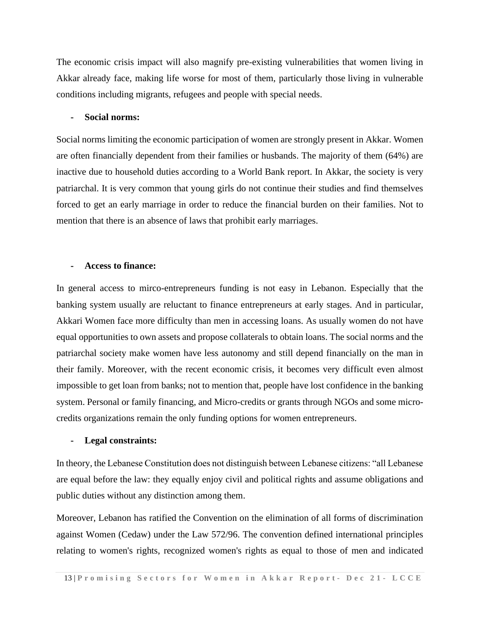The economic crisis impact will also magnify pre-existing vulnerabilities that women living in Akkar already face, making life worse for most of them, particularly those living in vulnerable conditions including migrants, refugees and people with special needs.

#### **- Social norms:**

Social norms limiting the economic participation of women are strongly present in Akkar. Women are often financially dependent from their families or husbands. The majority of them (64%) are inactive due to household duties according to a World Bank report. In Akkar, the society is very patriarchal. It is very common that young girls do not continue their studies and find themselves forced to get an early marriage in order to reduce the financial burden on their families. Not to mention that there is an absence of laws that prohibit early marriages.

#### **- Access to finance:**

In general access to mirco-entrepreneurs funding is not easy in Lebanon. Especially that the banking system usually are reluctant to finance entrepreneurs at early stages. And in particular, Akkari Women face more difficulty than men in accessing loans. As usually women do not have equal opportunities to own assets and propose collaterals to obtain loans. The social norms and the patriarchal society make women have less autonomy and still depend financially on the man in their family. Moreover, with the recent economic crisis, it becomes very difficult even almost impossible to get loan from banks; not to mention that, people have lost confidence in the banking system. Personal or family financing, and Micro-credits or grants through NGOs and some microcredits organizations remain the only funding options for women entrepreneurs.

#### **- Legal constraints:**

In theory, the Lebanese Constitution does not distinguish between Lebanese citizens: "all Lebanese are equal before the law: they equally enjoy civil and political rights and assume obligations and public duties without any distinction among them.

Moreover, Lebanon has ratified the Convention on the elimination of all forms of discrimination against Women (Cedaw) under the Law 572/96. The convention defined international principles relating to women's rights, recognized women's rights as equal to those of men and indicated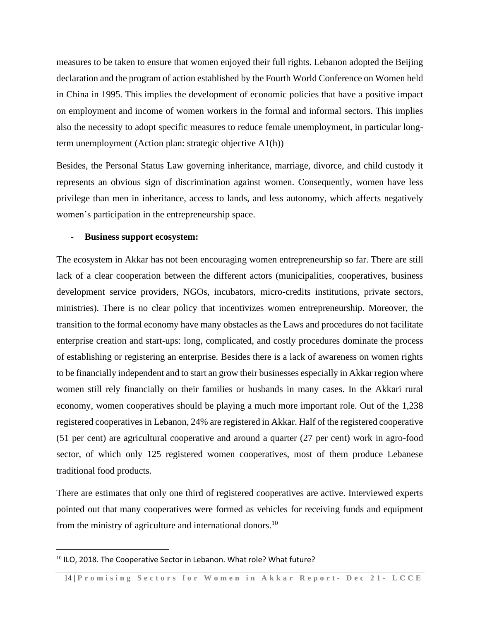measures to be taken to ensure that women enjoyed their full rights. Lebanon adopted the Beijing declaration and the program of action established by the Fourth World Conference on Women held in China in 1995. This implies the development of economic policies that have a positive impact on employment and income of women workers in the formal and informal sectors. This implies also the necessity to adopt specific measures to reduce female unemployment, in particular longterm unemployment (Action plan: strategic objective A1(h))

Besides, the Personal Status Law governing inheritance, marriage, divorce, and child custody it represents an obvious sign of discrimination against women. Consequently, women have less privilege than men in inheritance, access to lands, and less autonomy, which affects negatively women's participation in the entrepreneurship space.

#### **- Business support ecosystem:**

The ecosystem in Akkar has not been encouraging women entrepreneurship so far. There are still lack of a clear cooperation between the different actors (municipalities, cooperatives, business development service providers, NGOs, incubators, micro-credits institutions, private sectors, ministries). There is no clear policy that incentivizes women entrepreneurship. Moreover, the transition to the formal economy have many obstacles as the Laws and procedures do not facilitate enterprise creation and start-ups: long, complicated, and costly procedures dominate the process of establishing or registering an enterprise. Besides there is a lack of awareness on women rights to be financially independent and to start an grow their businesses especially in Akkar region where women still rely financially on their families or husbands in many cases. In the Akkari rural economy, women cooperatives should be playing a much more important role. Out of the 1,238 registered cooperatives in Lebanon, 24% are registered in Akkar. Half of the registered cooperative (51 per cent) are agricultural cooperative and around a quarter (27 per cent) work in agro-food sector, of which only 125 registered women cooperatives, most of them produce Lebanese traditional food products.

There are estimates that only one third of registered cooperatives are active. Interviewed experts pointed out that many cooperatives were formed as vehicles for receiving funds and equipment from the ministry of agriculture and international donors.<sup>10</sup>

<sup>&</sup>lt;sup>10</sup> ILO, 2018. The Cooperative Sector in Lebanon. What role? What future?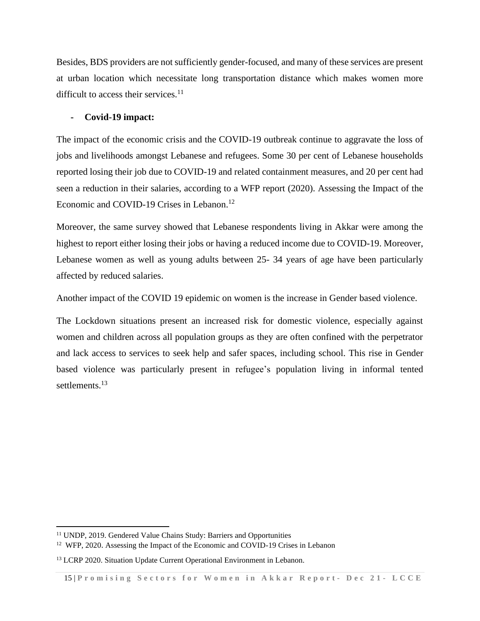Besides, BDS providers are not sufficiently gender-focused, and many of these services are present at urban location which necessitate long transportation distance which makes women more difficult to access their services.<sup>11</sup>

## **- Covid-19 impact:**

The impact of the economic crisis and the COVID-19 outbreak continue to aggravate the loss of jobs and livelihoods amongst Lebanese and refugees. Some 30 per cent of Lebanese households reported losing their job due to COVID-19 and related containment measures, and 20 per cent had seen a reduction in their salaries, according to a WFP report (2020). Assessing the Impact of the Economic and COVID-19 Crises in Lebanon.<sup>12</sup>

Moreover, the same survey showed that Lebanese respondents living in Akkar were among the highest to report either losing their jobs or having a reduced income due to COVID-19. Moreover, Lebanese women as well as young adults between 25- 34 years of age have been particularly affected by reduced salaries.

Another impact of the COVID 19 epidemic on women is the increase in Gender based violence.

The Lockdown situations present an increased risk for domestic violence, especially against women and children across all population groups as they are often confined with the perpetrator and lack access to services to seek help and safer spaces, including school. This rise in Gender based violence was particularly present in refugee's population living in informal tented settlements.<sup>13</sup>

<sup>11</sup> UNDP, 2019. Gendered Value Chains Study: Barriers and Opportunities

<sup>&</sup>lt;sup>12</sup> [WFP,](https://docs.wfp.org/api/documents/WFP-0000116784/download/) 2020. Assessing the Impact of the Economic and COVID-19 Crises in Lebanon

<sup>&</sup>lt;sup>13</sup> LCRP 2020. Situation Update Current Operational Environment in Lebanon.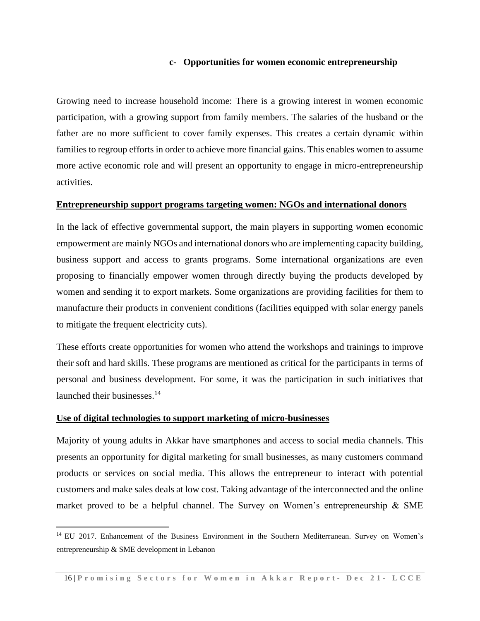#### **c- Opportunities for women economic entrepreneurship**

Growing need to increase household income: There is a growing interest in women economic participation, with a growing support from family members. The salaries of the husband or the father are no more sufficient to cover family expenses. This creates a certain dynamic within families to regroup efforts in order to achieve more financial gains. This enables women to assume more active economic role and will present an opportunity to engage in micro-entrepreneurship activities.

#### **Entrepreneurship support programs targeting women: NGOs and international donors**

In the lack of effective governmental support, the main players in supporting women economic empowerment are mainly NGOs and international donors who are implementing capacity building, business support and access to grants programs. Some international organizations are even proposing to financially empower women through directly buying the products developed by women and sending it to export markets. Some organizations are providing facilities for them to manufacture their products in convenient conditions (facilities equipped with solar energy panels to mitigate the frequent electricity cuts).

These efforts create opportunities for women who attend the workshops and trainings to improve their soft and hard skills. These programs are mentioned as critical for the participants in terms of personal and business development. For some, it was the participation in such initiatives that launched their businesses.<sup>14</sup>

#### **Use of digital technologies to support marketing of micro-businesses**

Majority of young adults in Akkar have smartphones and access to social media channels. This presents an opportunity for digital marketing for small businesses, as many customers command products or services on social media. This allows the entrepreneur to interact with potential customers and make sales deals at low cost. Taking advantage of the interconnected and the online market proved to be a helpful channel. The Survey on Women's entrepreneurship & SME

<sup>&</sup>lt;sup>14</sup> EU 2017. Enhancement of the Business Environment in the Southern Mediterranean. Survey on Women's entrepreneurship & SME development in Lebanon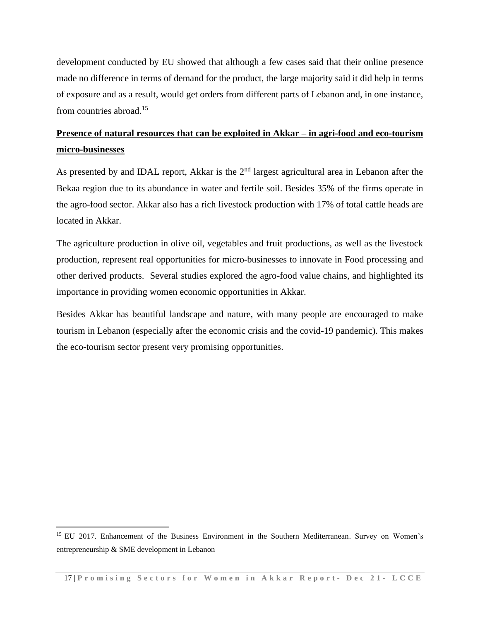development conducted by EU showed that although a few cases said that their online presence made no difference in terms of demand for the product, the large majority said it did help in terms of exposure and as a result, would get orders from different parts of Lebanon and, in one instance, from countries abroad.<sup>15</sup>

# **Presence of natural resources that can be exploited in Akkar – in agri-food and eco-tourism micro-businesses**

As presented by and IDAL report, Akkar is the 2<sup>nd</sup> largest agricultural area in Lebanon after the Bekaa region due to its abundance in water and fertile soil. Besides 35% of the firms operate in the agro-food sector. Akkar also has a rich livestock production with 17% of total cattle heads are located in Akkar.

The agriculture production in olive oil, vegetables and fruit productions, as well as the livestock production, represent real opportunities for micro-businesses to innovate in Food processing and other derived products. Several studies explored the agro-food value chains, and highlighted its importance in providing women economic opportunities in Akkar.

Besides Akkar has beautiful landscape and nature, with many people are encouraged to make tourism in Lebanon (especially after the economic crisis and the covid-19 pandemic). This makes the eco-tourism sector present very promising opportunities.

<sup>&</sup>lt;sup>15</sup> EU 2017. Enhancement of the Business Environment in the Southern Mediterranean. Survey on Women's entrepreneurship & SME development in Lebanon

<sup>17</sup> | **P r o m i s i n g S e c t o r s f o r W o m e n i n A k k a r R e p o r t - Dec 2 1 - L C C E**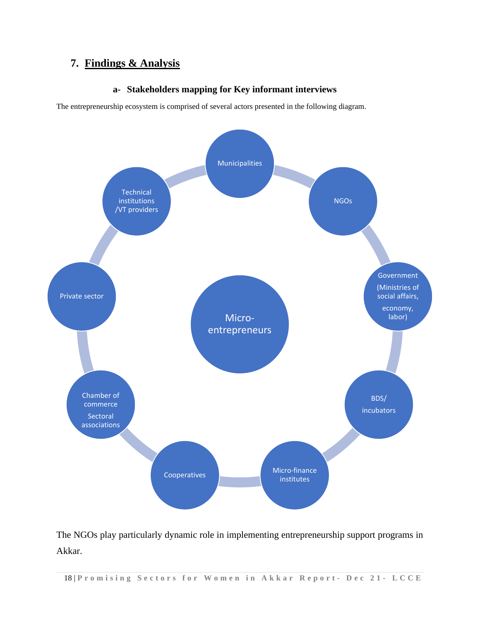# **7. Findings & Analysis**

# **a- Stakeholders mapping for Key informant interviews**

The entrepreneurship ecosystem is comprised of several actors presented in the following diagram.



The NGOs play particularly dynamic role in implementing entrepreneurship support programs in Akkar.

18 | **P r o m i s i n g S e c t o r s f o r W o m e n i n A k k a r R e p o r t - Dec 2 1 - L C C E**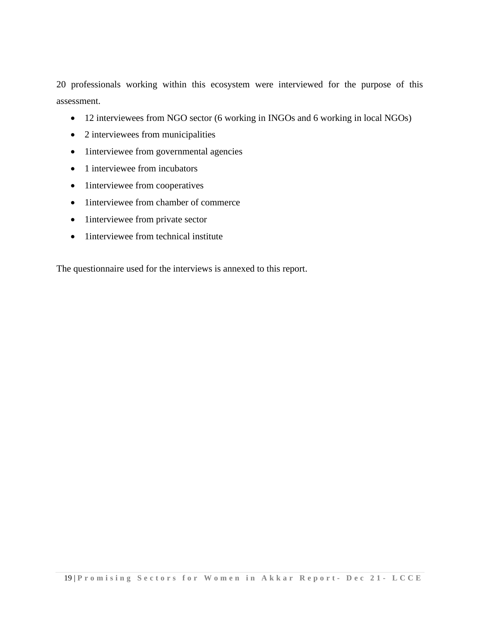20 professionals working within this ecosystem were interviewed for the purpose of this assessment.

- 12 interviewees from NGO sector (6 working in INGOs and 6 working in local NGOs)
- 2 interviewees from municipalities
- 1interviewee from governmental agencies
- 1 interviewee from incubators
- 1interviewee from cooperatives
- 1interviewee from chamber of commerce
- 1interviewee from private sector
- 1interviewee from technical institute

The questionnaire used for the interviews is annexed to this report.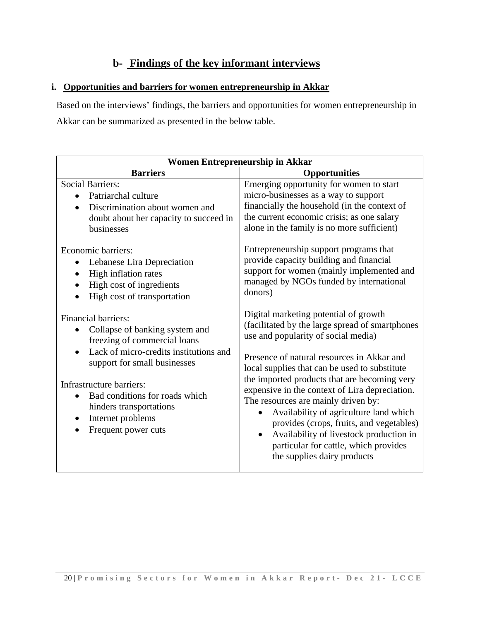# **b- Findings of the key informant interviews**

# **i. Opportunities and barriers for women entrepreneurship in Akkar**

Based on the interviews' findings, the barriers and opportunities for women entrepreneurship in Akkar can be summarized as presented in the below table.

| <b>Women Entrepreneurship in Akkar</b>                                                                                                                                                                                                                                                                                   |                                                                                                                                                                                                                                                                                                                                                                                                                                                                                                                                                                                               |  |  |  |
|--------------------------------------------------------------------------------------------------------------------------------------------------------------------------------------------------------------------------------------------------------------------------------------------------------------------------|-----------------------------------------------------------------------------------------------------------------------------------------------------------------------------------------------------------------------------------------------------------------------------------------------------------------------------------------------------------------------------------------------------------------------------------------------------------------------------------------------------------------------------------------------------------------------------------------------|--|--|--|
| <b>Barriers</b>                                                                                                                                                                                                                                                                                                          | <b>Opportunities</b>                                                                                                                                                                                                                                                                                                                                                                                                                                                                                                                                                                          |  |  |  |
| <b>Social Barriers:</b><br>• Patriarchal culture<br>Discrimination about women and<br>doubt about her capacity to succeed in<br>businesses                                                                                                                                                                               | Emerging opportunity for women to start<br>micro-businesses as a way to support<br>financially the household (in the context of<br>the current economic crisis; as one salary<br>alone in the family is no more sufficient)                                                                                                                                                                                                                                                                                                                                                                   |  |  |  |
| Economic barriers:<br>Lebanese Lira Depreciation<br>High inflation rates<br>High cost of ingredients<br>High cost of transportation                                                                                                                                                                                      | Entrepreneurship support programs that<br>provide capacity building and financial<br>support for women (mainly implemented and<br>managed by NGOs funded by international<br>donors)                                                                                                                                                                                                                                                                                                                                                                                                          |  |  |  |
| <b>Financial barriers:</b><br>Collapse of banking system and<br>freezing of commercial loans<br>Lack of micro-credits institutions and<br>support for small businesses<br>Infrastructure barriers:<br>Bad conditions for roads which<br>hinders transportations<br>Internet problems<br>$\bullet$<br>Frequent power cuts | Digital marketing potential of growth<br>(facilitated by the large spread of smartphones<br>use and popularity of social media)<br>Presence of natural resources in Akkar and<br>local supplies that can be used to substitute<br>the imported products that are becoming very<br>expensive in the context of Lira depreciation.<br>The resources are mainly driven by:<br>Availability of agriculture land which<br>provides (crops, fruits, and vegetables)<br>Availability of livestock production in<br>$\bullet$<br>particular for cattle, which provides<br>the supplies dairy products |  |  |  |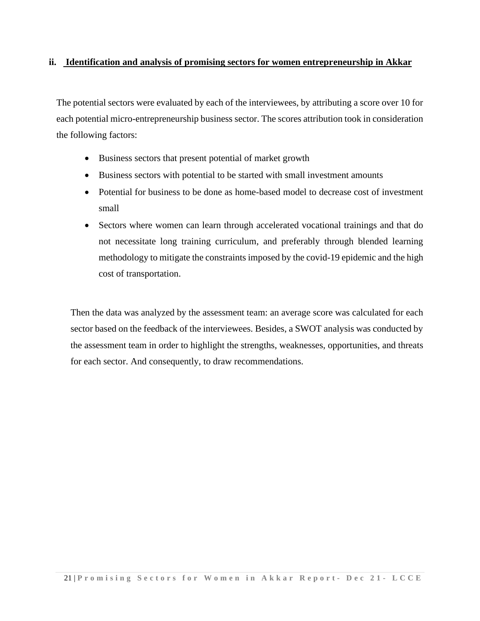# **ii. Identification and analysis of promising sectors for women entrepreneurship in Akkar**

The potential sectors were evaluated by each of the interviewees, by attributing a score over 10 for each potential micro-entrepreneurship business sector. The scores attribution took in consideration the following factors:

- Business sectors that present potential of market growth
- Business sectors with potential to be started with small investment amounts
- Potential for business to be done as home-based model to decrease cost of investment small
- Sectors where women can learn through accelerated vocational trainings and that do not necessitate long training curriculum, and preferably through blended learning methodology to mitigate the constraints imposed by the covid-19 epidemic and the high cost of transportation.

Then the data was analyzed by the assessment team: an average score was calculated for each sector based on the feedback of the interviewees. Besides, a SWOT analysis was conducted by the assessment team in order to highlight the strengths, weaknesses, opportunities, and threats for each sector. And consequently, to draw recommendations.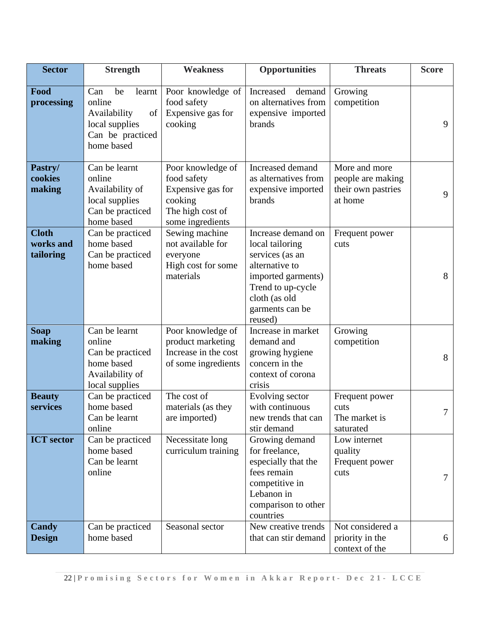| <b>Sector</b>                          | <b>Strength</b>                                                                                         | <b>Weakness</b>                                                                                          | <b>Opportunities</b>                                                                                                                                                 | <b>Threats</b>                                                      | <b>Score</b> |
|----------------------------------------|---------------------------------------------------------------------------------------------------------|----------------------------------------------------------------------------------------------------------|----------------------------------------------------------------------------------------------------------------------------------------------------------------------|---------------------------------------------------------------------|--------------|
| Food<br>processing                     | Can<br>be<br>learnt<br>online<br>Availability<br>of<br>local supplies<br>Can be practiced<br>home based | Poor knowledge of<br>food safety<br>Expensive gas for<br>cooking                                         | demand<br>Increased<br>on alternatives from<br>expensive imported<br>brands                                                                                          | Growing<br>competition                                              | 9            |
| Pastry/<br>cookies<br>making           | Can be learnt<br>online<br>Availability of<br>local supplies<br>Can be practiced<br>home based          | Poor knowledge of<br>food safety<br>Expensive gas for<br>cooking<br>The high cost of<br>some ingredients | Increased demand<br>as alternatives from<br>expensive imported<br>brands                                                                                             | More and more<br>people are making<br>their own pastries<br>at home | 9            |
| <b>Cloth</b><br>works and<br>tailoring | Can be practiced<br>home based<br>Can be practiced<br>home based                                        | Sewing machine<br>not available for<br>everyone<br>High cost for some<br>materials                       | Increase demand on<br>local tailoring<br>services (as an<br>alternative to<br>imported garments)<br>Trend to up-cycle<br>cloth (as old<br>garments can be<br>reused) | Frequent power<br>cuts                                              | 8            |
| <b>Soap</b><br>making                  | Can be learnt<br>online<br>Can be practiced<br>home based<br>Availability of<br>local supplies          | Poor knowledge of<br>product marketing<br>Increase in the cost<br>of some ingredients                    | Increase in market<br>demand and<br>growing hygiene<br>concern in the<br>context of corona<br>crisis                                                                 | Growing<br>competition                                              | 8            |
| <b>Beauty</b><br>services              | Can be practiced<br>home based<br>Can be learnt<br>online                                               | The cost of<br>materials (as they<br>are imported)                                                       | Evolving sector<br>with continuous<br>new trends that can<br>stir demand                                                                                             | Frequent power<br>cuts<br>The market is<br>saturated                | $\tau$       |
| <b>ICT</b> sector                      | Can be practiced<br>home based<br>Can be learnt<br>online                                               | Necessitate long<br>curriculum training                                                                  | Growing demand<br>for freelance,<br>especially that the<br>fees remain<br>competitive in<br>Lebanon in<br>comparison to other<br>countries                           | Low internet<br>quality<br>Frequent power<br>cuts                   | 7            |
| Candy<br><b>Design</b>                 | Can be practiced<br>home based                                                                          | Seasonal sector                                                                                          | New creative trends<br>that can stir demand                                                                                                                          | Not considered a<br>priority in the<br>context of the               | 6            |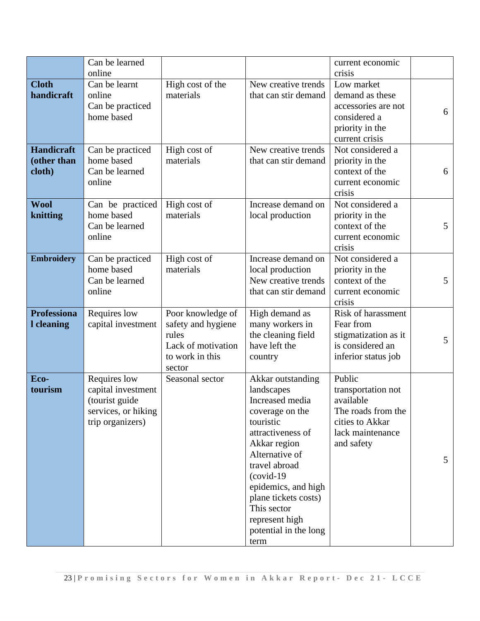|                                            | Can be learned<br>online                                                                        |                                                                                                     |                                                                                                                                                                                                                                                                                             | current economic<br>crisis                                                                                           |                 |
|--------------------------------------------|-------------------------------------------------------------------------------------------------|-----------------------------------------------------------------------------------------------------|---------------------------------------------------------------------------------------------------------------------------------------------------------------------------------------------------------------------------------------------------------------------------------------------|----------------------------------------------------------------------------------------------------------------------|-----------------|
| <b>Cloth</b><br>handicraft                 | Can be learnt<br>online<br>Can be practiced                                                     | High cost of the<br>materials                                                                       | New creative trends<br>that can stir demand                                                                                                                                                                                                                                                 | Low market<br>demand as these<br>accessories are not                                                                 |                 |
|                                            | home based                                                                                      |                                                                                                     |                                                                                                                                                                                                                                                                                             | considered a<br>priority in the<br>current crisis                                                                    | 6               |
| <b>Handicraft</b><br>(other than<br>cloth) | Can be practiced<br>home based<br>Can be learned<br>online                                      | High cost of<br>materials                                                                           | New creative trends<br>that can stir demand                                                                                                                                                                                                                                                 | Not considered a<br>priority in the<br>context of the<br>current economic<br>crisis                                  | 6               |
| <b>Wool</b><br>knitting                    | Can be practiced<br>home based<br>Can be learned<br>online                                      | High cost of<br>materials                                                                           | Increase demand on<br>local production                                                                                                                                                                                                                                                      | Not considered a<br>priority in the<br>context of the<br>current economic<br>crisis                                  | 5               |
| <b>Embroidery</b>                          | Can be practiced<br>home based<br>Can be learned<br>online                                      | High cost of<br>materials                                                                           | Increase demand on<br>local production<br>New creative trends<br>that can stir demand                                                                                                                                                                                                       | Not considered a<br>priority in the<br>context of the<br>current economic<br>crisis                                  | 5               |
| <b>Professiona</b><br>I cleaning           | Requires low<br>capital investment                                                              | Poor knowledge of<br>safety and hygiene<br>rules<br>Lack of motivation<br>to work in this<br>sector | High demand as<br>many workers in<br>the cleaning field<br>have left the<br>country                                                                                                                                                                                                         | Risk of harassment<br>Fear from<br>stigmatization as it<br>is considered an<br>inferior status job                   | 5               |
| Eco-<br>tourism                            | Requires low<br>capital investment<br>(tourist guide<br>services, or hiking<br>trip organizers) | Seasonal sector                                                                                     | Akkar outstanding<br>landscapes<br>Increased media<br>coverage on the<br>touristic<br>attractiveness of<br>Akkar region<br>Alternative of<br>travel abroad<br>$(covid-19)$<br>epidemics, and high<br>plane tickets costs)<br>This sector<br>represent high<br>potential in the long<br>term | Public<br>transportation not<br>available<br>The roads from the<br>cities to Akkar<br>lack maintenance<br>and safety | $5\overline{)}$ |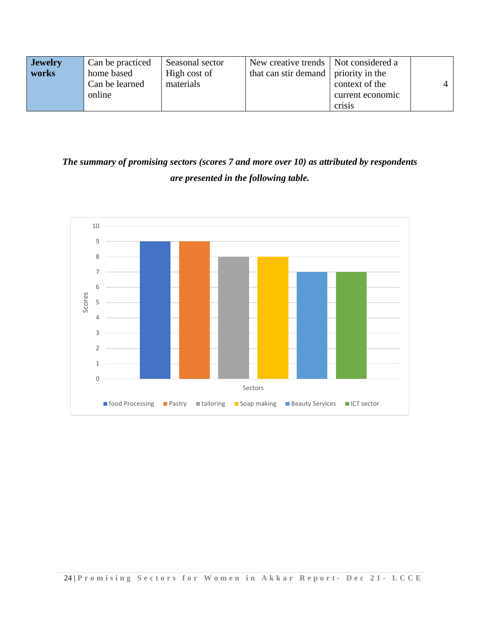| <b>Jewelry</b> | Can be practiced | Seasonal sector | New creative trends   Not considered a |                  |   |
|----------------|------------------|-----------------|----------------------------------------|------------------|---|
| works          | home based       | High cost of    | that can stir demand   priority in the |                  |   |
|                | Can be learned   | materials       |                                        | context of the   | 4 |
|                | online           |                 |                                        | current economic |   |
|                |                  |                 |                                        | Crisis           |   |

# *The summary of promising sectors (scores 7 and more over 10) as attributed by respondents are presented in the following table.*

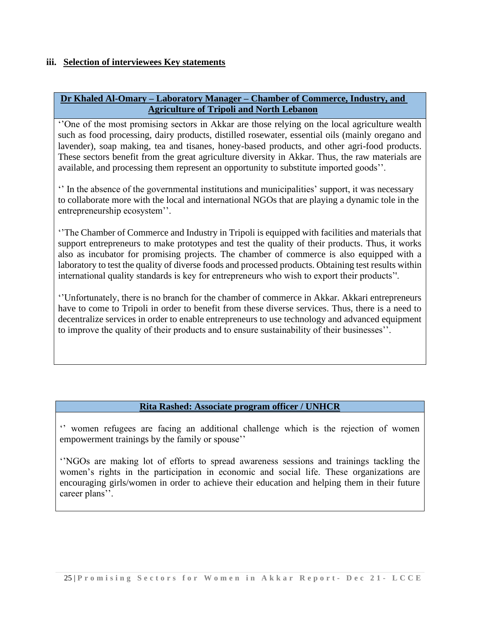# **iii. Selection of interviewees Key statements**

# **Dr Khaled Al-Omary – Laboratory Manager – Chamber of Commerce, Industry, and Agriculture of Tripoli and North Lebanon**

''One of the most promising sectors in Akkar are those relying on the local agriculture wealth such as food processing, dairy products, distilled rosewater, essential oils (mainly oregano and lavender), soap making, tea and tisanes, honey-based products, and other agri-food products. These sectors benefit from the great agriculture diversity in Akkar. Thus, the raw materials are available, and processing them represent an opportunity to substitute imported goods''.

'' In the absence of the governmental institutions and municipalities' support, it was necessary to collaborate more with the local and international NGOs that are playing a dynamic tole in the entrepreneurship ecosystem''.

''The Chamber of Commerce and Industry in Tripoli is equipped with facilities and materials that support entrepreneurs to make prototypes and test the quality of their products. Thus, it works also as incubator for promising projects. The chamber of commerce is also equipped with a laboratory to test the quality of diverse foods and processed products. Obtaining test results within international quality standards is key for entrepreneurs who wish to export their products''.

''Unfortunately, there is no branch for the chamber of commerce in Akkar. Akkari entrepreneurs have to come to Tripoli in order to benefit from these diverse services. Thus, there is a need to decentralize services in order to enable entrepreneurs to use technology and advanced equipment to improve the quality of their products and to ensure sustainability of their businesses''.

# **Rita Rashed: Associate program officer / UNHCR**

'' women refugees are facing an additional challenge which is the rejection of women empowerment trainings by the family or spouse''

''NGOs are making lot of efforts to spread awareness sessions and trainings tackling the women's rights in the participation in economic and social life. These organizations are encouraging girls/women in order to achieve their education and helping them in their future career plans''.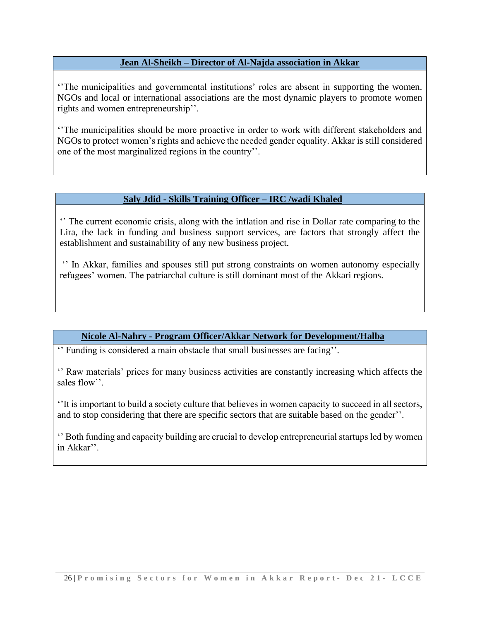# **Jean Al-Sheikh – Director of Al-Najda association in Akkar**

''The municipalities and governmental institutions' roles are absent in supporting the women. NGOs and local or international associations are the most dynamic players to promote women rights and women entrepreneurship''.

''The municipalities should be more proactive in order to work with different stakeholders and NGOs to protect women's rights and achieve the needed gender equality. Akkar is still considered one of the most marginalized regions in the country''.

# **Saly Jdid - Skills Training Officer – IRC /wadi Khaled**

'' The current economic crisis, along with the inflation and rise in Dollar rate comparing to the Lira, the lack in funding and business support services, are factors that strongly affect the establishment and sustainability of any new business project.

'' In Akkar, families and spouses still put strong constraints on women autonomy especially refugees' women. The patriarchal culture is still dominant most of the Akkari regions.

# **Nicole Al-Nahry - Program Officer/Akkar Network for Development/Halba**

'' Funding is considered a main obstacle that small businesses are facing''.

'' Raw materials' prices for many business activities are constantly increasing which affects the sales flow''.

''It is important to build a society culture that believes in women capacity to succeed in all sectors, and to stop considering that there are specific sectors that are suitable based on the gender''.

'' Both funding and capacity building are crucial to develop entrepreneurial startups led by women in Akkar''.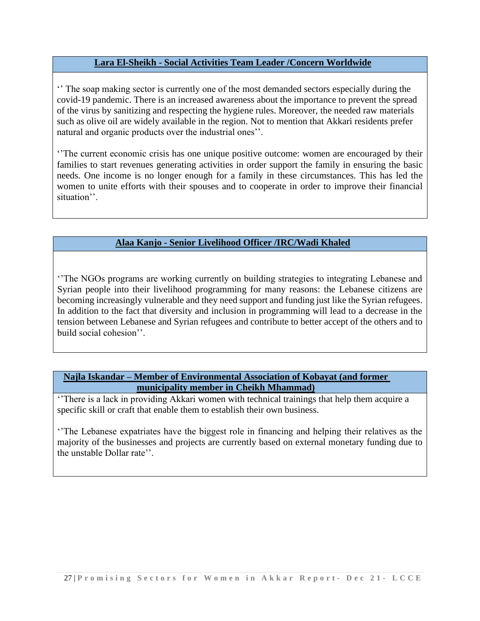# **Lara El-Sheikh - Social Activities Team Leader /Concern Worldwide**

'' The soap making sector is currently one of the most demanded sectors especially during the covid-19 pandemic. There is an increased awareness about the importance to prevent the spread of the virus by sanitizing and respecting the hygiene rules. Moreover, the needed raw materials such as olive oil are widely available in the region. Not to mention that Akkari residents prefer natural and organic products over the industrial ones''.

''The current economic crisis has one unique positive outcome: women are encouraged by their families to start revenues generating activities in order support the family in ensuring the basic needs. One income is no longer enough for a family in these circumstances. This has led the women to unite efforts with their spouses and to cooperate in order to improve their financial situation''.

# **Alaa Kanjo - Senior Livelihood Officer /IRC/Wadi Khaled**

''The NGOs programs are working currently on building strategies to integrating Lebanese and Syrian people into their livelihood programming for many reasons: the Lebanese citizens are becoming increasingly vulnerable and they need support and funding just like the Syrian refugees. In addition to the fact that diversity and inclusion in programming will lead to a decrease in the tension between Lebanese and Syrian refugees and contribute to better accept of the others and to build social cohesion''.

# **Najla Iskandar – Member of Environmental Association of Kobayat (and former municipality member in Cheikh Mhammad)**

''There is a lack in providing Akkari women with technical trainings that help them acquire a specific skill or craft that enable them to establish their own business.

''The Lebanese expatriates have the biggest role in financing and helping their relatives as the majority of the businesses and projects are currently based on external monetary funding due to the unstable Dollar rate''.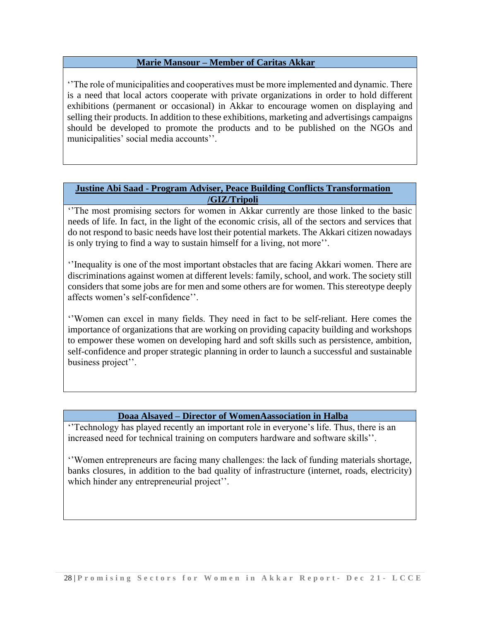# **Marie Mansour – Member of Caritas Akkar**

''The role of municipalities and cooperatives must be more implemented and dynamic. There is a need that local actors cooperate with private organizations in order to hold different exhibitions (permanent or occasional) in Akkar to encourage women on displaying and selling their products. In addition to these exhibitions, marketing and advertisings campaigns should be developed to promote the products and to be published on the NGOs and municipalities' social media accounts''.

## **Justine Abi Saad - Program Adviser, Peace Building Conflicts Transformation /GIZ/Tripoli**

''The most promising sectors for women in Akkar currently are those linked to the basic needs of life. In fact, in the light of the economic crisis, all of the sectors and services that do not respond to basic needs have lost their potential markets. The Akkari citizen nowadays is only trying to find a way to sustain himself for a living, not more''.

''Inequality is one of the most important obstacles that are facing Akkari women. There are discriminations against women at different levels: family, school, and work. The society still considers that some jobs are for men and some others are for women. This stereotype deeply affects women's self-confidence''.

''Women can excel in many fields. They need in fact to be self-reliant. Here comes the importance of organizations that are working on providing capacity building and workshops to empower these women on developing hard and soft skills such as persistence, ambition, self-confidence and proper strategic planning in order to launch a successful and sustainable business project''.

# **Doaa Alsayed – Director of WomenAassociation in Halba**

''Technology has played recently an important role in everyone's life. Thus, there is an increased need for technical training on computers hardware and software skills''.

''Women entrepreneurs are facing many challenges: the lack of funding materials shortage, banks closures, in addition to the bad quality of infrastructure (internet, roads, electricity) which hinder any entrepreneurial project".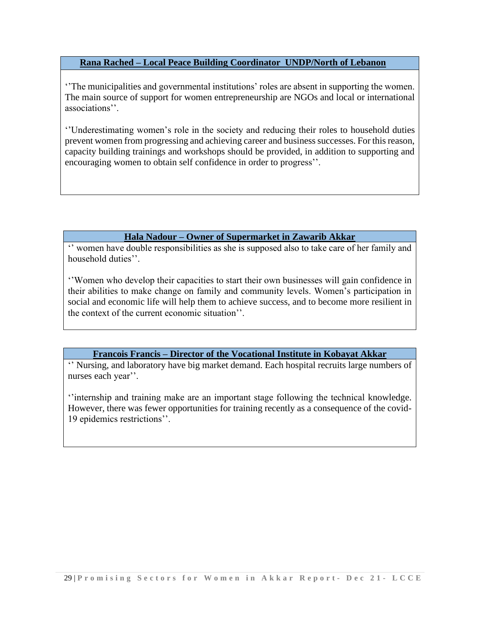# **Rana Rached – Local Peace Building Coordinator UNDP/North of Lebanon**

''The municipalities and governmental institutions' roles are absent in supporting the women. The main source of support for women entrepreneurship are NGOs and local or international associations''.

''Underestimating women's role in the society and reducing their roles to household duties prevent women from progressing and achieving career and business successes. For this reason, capacity building trainings and workshops should be provided, in addition to supporting and encouraging women to obtain self confidence in order to progress''.

# **Hala Nadour – Owner of Supermarket in Zawarib Akkar**

'' women have double responsibilities as she is supposed also to take care of her family and household duties''.

''Women who develop their capacities to start their own businesses will gain confidence in their abilities to make change on family and community levels. Women's participation in social and economic life will help them to achieve success, and to become more resilient in the context of the current economic situation''.

# **Francois Francis – Director of the Vocational Institute in Kobayat Akkar**

'' Nursing, and laboratory have big market demand. Each hospital recruits large numbers of nurses each year''.

''internship and training make are an important stage following the technical knowledge. However, there was fewer opportunities for training recently as a consequence of the covid-19 epidemics restrictions''.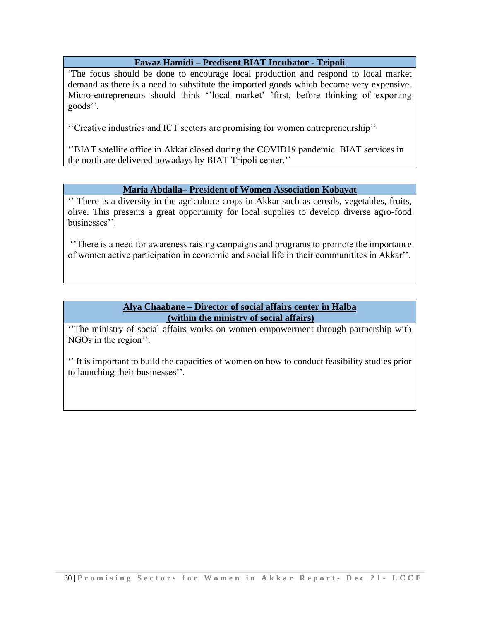# **Fawaz Hamidi – Predisent BIAT Incubator - Tripoli**

'The focus should be done to encourage local production and respond to local market demand as there is a need to substitute the imported goods which become very expensive. Micro-entrepreneurs should think ''local market' 'first, before thinking of exporting goods''.

''Creative industries and ICT sectors are promising for women entrepreneurship''

''BIAT satellite office in Akkar closed during the COVID19 pandemic. BIAT services in the north are delivered nowadays by BIAT Tripoli center.''

# **Maria Abdalla– President of Women Association Kobayat**

'' There is a diversity in the agriculture crops in Akkar such as cereals, vegetables, fruits, olive. This presents a great opportunity for local supplies to develop diverse agro-food businesses''.

''There is a need for awareness raising campaigns and programs to promote the importance of women active participation in economic and social life in their communitites in Akkar''.

# **Alya Chaabane – Director of social affairs center in Halba (within the ministry of social affairs)**

''The ministry of social affairs works on women empowerment through partnership with NGOs in the region''.

'' It is important to build the capacities of women on how to conduct feasibility studies prior to launching their businesses''.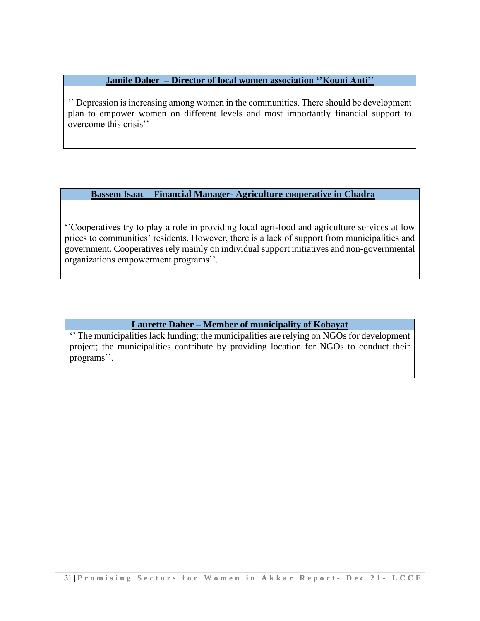**Jamile Daher – Director of local women association ''Kouni Anti''**

'' Depression is increasing among women in the communities. There should be development plan to empower women on different levels and most importantly financial support to overcome this crisis''

**Bassem Isaac – Financial Manager- Agriculture cooperative in Chadra**

''Cooperatives try to play a role in providing local agri-food and agriculture services at low prices to communities' residents. However, there is a lack of support from municipalities and government. Cooperatives rely mainly on individual support initiatives and non-governmental organizations empowerment programs''.

# **Laurette Daher – Member of municipality of Kobayat**

'' The municipalities lack funding; the municipalities are relying on NGOs for development project; the municipalities contribute by providing location for NGOs to conduct their programs''.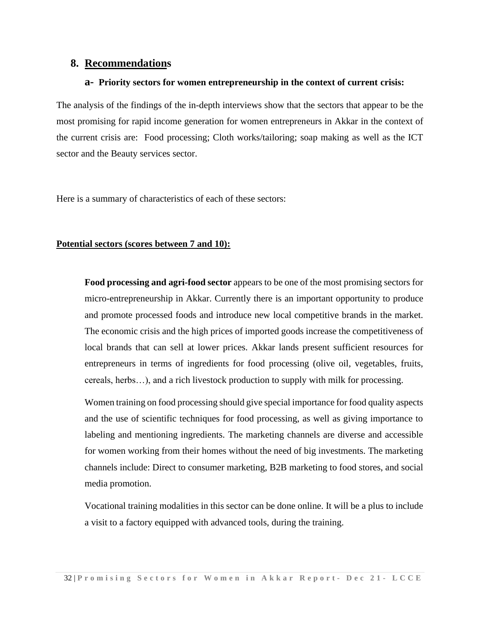# **8. Recommendations**

#### **a- Priority sectors for women entrepreneurship in the context of current crisis:**

The analysis of the findings of the in-depth interviews show that the sectors that appear to be the most promising for rapid income generation for women entrepreneurs in Akkar in the context of the current crisis are: Food processing; Cloth works/tailoring; soap making as well as the ICT sector and the Beauty services sector.

Here is a summary of characteristics of each of these sectors:

## **Potential sectors (scores between 7 and 10):**

**Food processing and agri-food sector** appears to be one of the most promising sectors for micro-entrepreneurship in Akkar. Currently there is an important opportunity to produce and promote processed foods and introduce new local competitive brands in the market. The economic crisis and the high prices of imported goods increase the competitiveness of local brands that can sell at lower prices. Akkar lands present sufficient resources for entrepreneurs in terms of ingredients for food processing (olive oil, vegetables, fruits, cereals, herbs…), and a rich livestock production to supply with milk for processing.

Women training on food processing should give special importance for food quality aspects and the use of scientific techniques for food processing, as well as giving importance to labeling and mentioning ingredients. The marketing channels are diverse and accessible for women working from their homes without the need of big investments. The marketing channels include: Direct to consumer marketing, B2B marketing to food stores, and social media promotion.

Vocational training modalities in this sector can be done online. It will be a plus to include a visit to a factory equipped with advanced tools, during the training.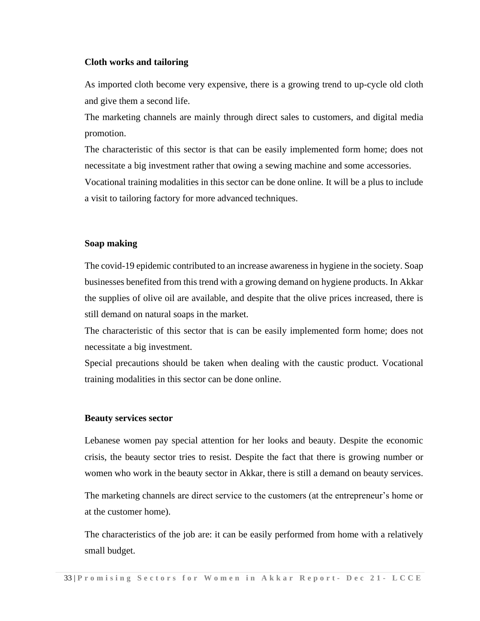## **Cloth works and tailoring**

As imported cloth become very expensive, there is a growing trend to up-cycle old cloth and give them a second life.

The marketing channels are mainly through direct sales to customers, and digital media promotion.

The characteristic of this sector is that can be easily implemented form home; does not necessitate a big investment rather that owing a sewing machine and some accessories.

Vocational training modalities in this sector can be done online. It will be a plus to include a visit to tailoring factory for more advanced techniques.

#### **Soap making**

The covid-19 epidemic contributed to an increase awareness in hygiene in the society. Soap businesses benefited from this trend with a growing demand on hygiene products. In Akkar the supplies of olive oil are available, and despite that the olive prices increased, there is still demand on natural soaps in the market.

The characteristic of this sector that is can be easily implemented form home; does not necessitate a big investment.

Special precautions should be taken when dealing with the caustic product. Vocational training modalities in this sector can be done online.

#### **Beauty services sector**

Lebanese women pay special attention for her looks and beauty. Despite the economic crisis, the beauty sector tries to resist. Despite the fact that there is growing number or women who work in the beauty sector in Akkar, there is still a demand on beauty services.

The marketing channels are direct service to the customers (at the entrepreneur's home or at the customer home).

The characteristics of the job are: it can be easily performed from home with a relatively small budget.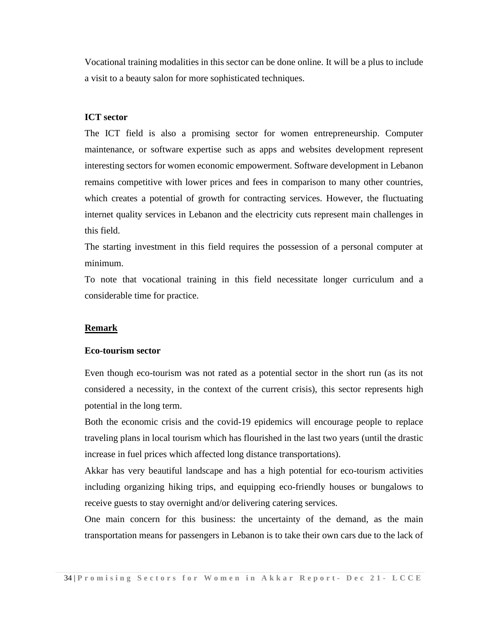Vocational training modalities in this sector can be done online. It will be a plus to include a visit to a beauty salon for more sophisticated techniques.

#### **ICT sector**

The ICT field is also a promising sector for women entrepreneurship. Computer maintenance, or software expertise such as apps and websites development represent interesting sectors for women economic empowerment. Software development in Lebanon remains competitive with lower prices and fees in comparison to many other countries, which creates a potential of growth for contracting services. However, the fluctuating internet quality services in Lebanon and the electricity cuts represent main challenges in this field.

The starting investment in this field requires the possession of a personal computer at minimum.

To note that vocational training in this field necessitate longer curriculum and a considerable time for practice.

#### **Remark**

#### **Eco-tourism sector**

Even though eco-tourism was not rated as a potential sector in the short run (as its not considered a necessity, in the context of the current crisis), this sector represents high potential in the long term.

Both the economic crisis and the covid-19 epidemics will encourage people to replace traveling plans in local tourism which has flourished in the last two years (until the drastic increase in fuel prices which affected long distance transportations).

Akkar has very beautiful landscape and has a high potential for eco-tourism activities including organizing hiking trips, and equipping eco-friendly houses or bungalows to receive guests to stay overnight and/or delivering catering services.

One main concern for this business: the uncertainty of the demand, as the main transportation means for passengers in Lebanon is to take their own cars due to the lack of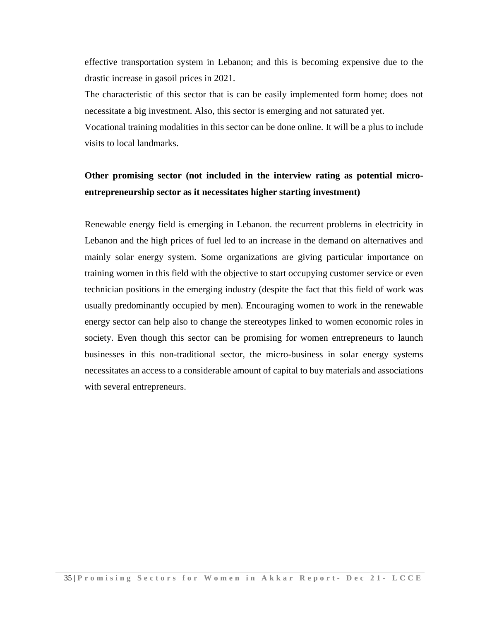effective transportation system in Lebanon; and this is becoming expensive due to the drastic increase in gasoil prices in 2021.

The characteristic of this sector that is can be easily implemented form home; does not necessitate a big investment. Also, this sector is emerging and not saturated yet.

Vocational training modalities in this sector can be done online. It will be a plus to include visits to local landmarks.

# **Other promising sector (not included in the interview rating as potential microentrepreneurship sector as it necessitates higher starting investment)**

Renewable energy field is emerging in Lebanon. the recurrent problems in electricity in Lebanon and the high prices of fuel led to an increase in the demand on alternatives and mainly solar energy system. Some organizations are giving particular importance on training women in this field with the objective to start occupying customer service or even technician positions in the emerging industry (despite the fact that this field of work was usually predominantly occupied by men). Encouraging women to work in the renewable energy sector can help also to change the stereotypes linked to women economic roles in society. Even though this sector can be promising for women entrepreneurs to launch businesses in this non-traditional sector, the micro-business in solar energy systems necessitates an access to a considerable amount of capital to buy materials and associations with several entrepreneurs.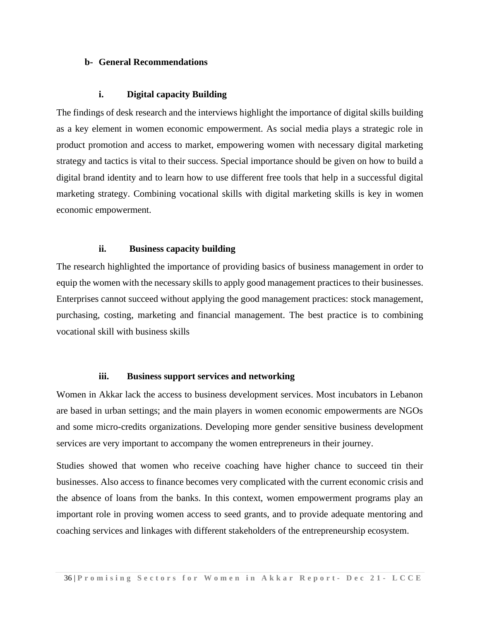#### **b- General Recommendations**

#### **i. Digital capacity Building**

The findings of desk research and the interviews highlight the importance of digital skills building as a key element in women economic empowerment. As social media plays a strategic role in product promotion and access to market, empowering women with necessary digital marketing strategy and tactics is vital to their success. Special importance should be given on how to build a digital brand identity and to learn how to use different free tools that help in a successful digital marketing strategy. Combining vocational skills with digital marketing skills is key in women economic empowerment.

#### **ii. Business capacity building**

The research highlighted the importance of providing basics of business management in order to equip the women with the necessary skills to apply good management practices to their businesses. Enterprises cannot succeed without applying the good management practices: stock management, purchasing, costing, marketing and financial management. The best practice is to combining vocational skill with business skills

#### **iii. Business support services and networking**

Women in Akkar lack the access to business development services. Most incubators in Lebanon are based in urban settings; and the main players in women economic empowerments are NGOs and some micro-credits organizations. Developing more gender sensitive business development services are very important to accompany the women entrepreneurs in their journey.

Studies showed that women who receive coaching have higher chance to succeed tin their businesses. Also access to finance becomes very complicated with the current economic crisis and the absence of loans from the banks. In this context, women empowerment programs play an important role in proving women access to seed grants, and to provide adequate mentoring and coaching services and linkages with different stakeholders of the entrepreneurship ecosystem.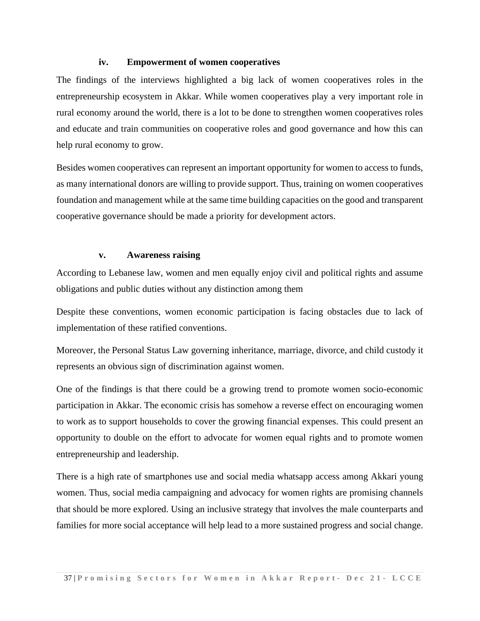## **iv. Empowerment of women cooperatives**

The findings of the interviews highlighted a big lack of women cooperatives roles in the entrepreneurship ecosystem in Akkar. While women cooperatives play a very important role in rural economy around the world, there is a lot to be done to strengthen women cooperatives roles and educate and train communities on cooperative roles and good governance and how this can help rural economy to grow.

Besides women cooperatives can represent an important opportunity for women to access to funds, as many international donors are willing to provide support. Thus, training on women cooperatives foundation and management while at the same time building capacities on the good and transparent cooperative governance should be made a priority for development actors.

## **v. Awareness raising**

According to Lebanese law, women and men equally enjoy civil and political rights and assume obligations and public duties without any distinction among them

Despite these conventions, women economic participation is facing obstacles due to lack of implementation of these ratified conventions.

Moreover, the Personal Status Law governing inheritance, marriage, divorce, and child custody it represents an obvious sign of discrimination against women.

One of the findings is that there could be a growing trend to promote women socio-economic participation in Akkar. The economic crisis has somehow a reverse effect on encouraging women to work as to support households to cover the growing financial expenses. This could present an opportunity to double on the effort to advocate for women equal rights and to promote women entrepreneurship and leadership.

There is a high rate of smartphones use and social media whatsapp access among Akkari young women. Thus, social media campaigning and advocacy for women rights are promising channels that should be more explored. Using an inclusive strategy that involves the male counterparts and families for more social acceptance will help lead to a more sustained progress and social change.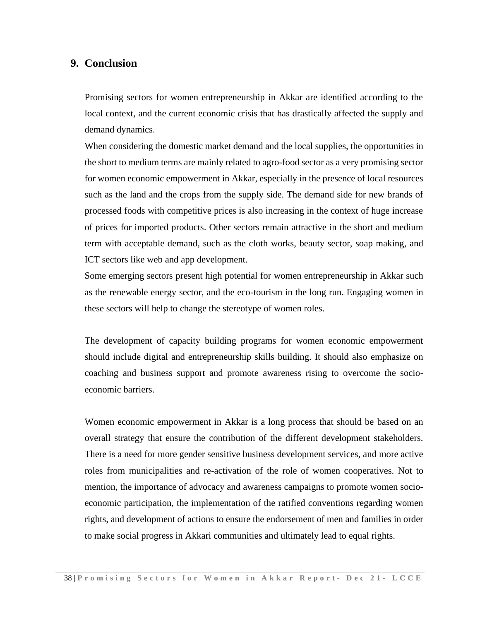# **9. Conclusion**

Promising sectors for women entrepreneurship in Akkar are identified according to the local context, and the current economic crisis that has drastically affected the supply and demand dynamics.

When considering the domestic market demand and the local supplies, the opportunities in the short to medium terms are mainly related to agro-food sector as a very promising sector for women economic empowerment in Akkar, especially in the presence of local resources such as the land and the crops from the supply side. The demand side for new brands of processed foods with competitive prices is also increasing in the context of huge increase of prices for imported products. Other sectors remain attractive in the short and medium term with acceptable demand, such as the cloth works, beauty sector, soap making, and ICT sectors like web and app development.

Some emerging sectors present high potential for women entrepreneurship in Akkar such as the renewable energy sector, and the eco-tourism in the long run. Engaging women in these sectors will help to change the stereotype of women roles.

The development of capacity building programs for women economic empowerment should include digital and entrepreneurship skills building. It should also emphasize on coaching and business support and promote awareness rising to overcome the socioeconomic barriers.

Women economic empowerment in Akkar is a long process that should be based on an overall strategy that ensure the contribution of the different development stakeholders. There is a need for more gender sensitive business development services, and more active roles from municipalities and re-activation of the role of women cooperatives. Not to mention, the importance of advocacy and awareness campaigns to promote women socioeconomic participation, the implementation of the ratified conventions regarding women rights, and development of actions to ensure the endorsement of men and families in order to make social progress in Akkari communities and ultimately lead to equal rights.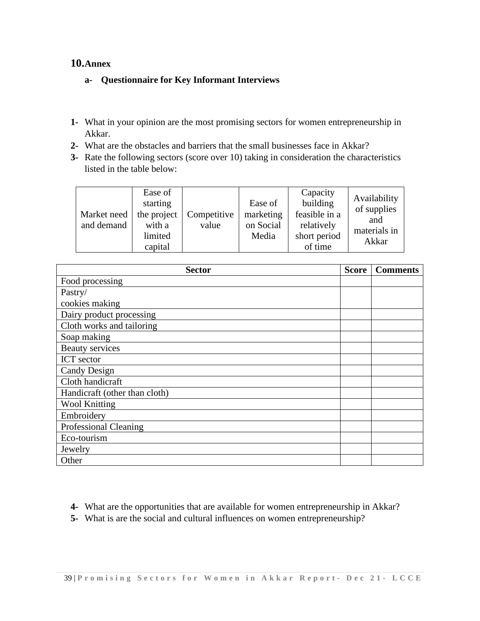# **10.Annex**

# **a- Questionnaire for Key Informant Interviews**

- **1-** What in your opinion are the most promising sectors for women entrepreneurship in Akkar.
- **2-** What are the obstacles and barriers that the small businesses face in Akkar?
- **3-** Rate the following sectors (score over 10) taking in consideration the characteristics listed in the table below:

| Market need  <br>and demand | Ease of<br>starting<br>the project<br>with a<br>limited<br>capital | Competitive<br>value | Ease of<br>marketing<br>on Social<br>Media | Capacity<br>building<br>feasible in a<br>relatively<br>short period<br>of time | Availability<br>of supplies<br>and<br>materials in<br>Akkar |
|-----------------------------|--------------------------------------------------------------------|----------------------|--------------------------------------------|--------------------------------------------------------------------------------|-------------------------------------------------------------|
|-----------------------------|--------------------------------------------------------------------|----------------------|--------------------------------------------|--------------------------------------------------------------------------------|-------------------------------------------------------------|

| <b>Sector</b>                 | <b>Score</b> | <b>Comments</b> |
|-------------------------------|--------------|-----------------|
| Food processing               |              |                 |
| Pastry/                       |              |                 |
| cookies making                |              |                 |
| Dairy product processing      |              |                 |
| Cloth works and tailoring     |              |                 |
| Soap making                   |              |                 |
| <b>Beauty services</b>        |              |                 |
| ICT sector                    |              |                 |
| Candy Design                  |              |                 |
| Cloth handicraft              |              |                 |
| Handicraft (other than cloth) |              |                 |
| <b>Wool Knitting</b>          |              |                 |
| Embroidery                    |              |                 |
| <b>Professional Cleaning</b>  |              |                 |
| Eco-tourism                   |              |                 |
| Jewelry                       |              |                 |
| Other                         |              |                 |

- **4-** What are the opportunities that are available for women entrepreneurship in Akkar?
- **5-** What is are the social and cultural influences on women entrepreneurship?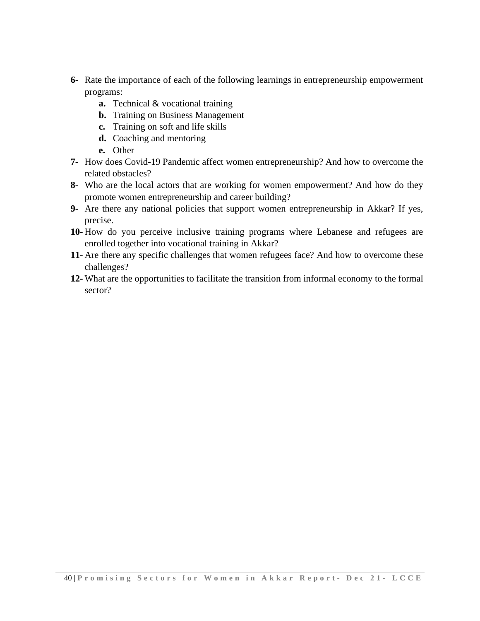- **6-** Rate the importance of each of the following learnings in entrepreneurship empowerment programs:
	- **a.** Technical & vocational training
	- **b.** Training on Business Management
	- **c.** Training on soft and life skills
	- **d.** Coaching and mentoring
	- **e.** Other
- **7-** How does Covid-19 Pandemic affect women entrepreneurship? And how to overcome the related obstacles?
- **8-** Who are the local actors that are working for women empowerment? And how do they promote women entrepreneurship and career building?
- **9-** Are there any national policies that support women entrepreneurship in Akkar? If yes, precise.
- **10-** How do you perceive inclusive training programs where Lebanese and refugees are enrolled together into vocational training in Akkar?
- **11-** Are there any specific challenges that women refugees face? And how to overcome these challenges?
- **12-** What are the opportunities to facilitate the transition from informal economy to the formal sector?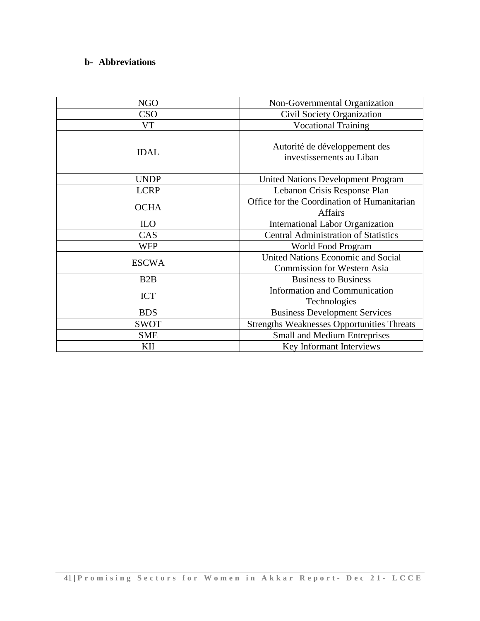# **b- Abbreviations**

| <b>NGO</b>       | Non-Governmental Organization                                                   |
|------------------|---------------------------------------------------------------------------------|
| <b>CSO</b>       | Civil Society Organization                                                      |
| VT               | <b>Vocational Training</b>                                                      |
| <b>IDAL</b>      | Autorité de développement des<br>investissements au Liban                       |
| <b>UNDP</b>      | <b>United Nations Development Program</b>                                       |
| <b>LCRP</b>      | Lebanon Crisis Response Plan                                                    |
| <b>OCHA</b>      | Office for the Coordination of Humanitarian<br><b>Affairs</b>                   |
| <b>ILO</b>       | <b>International Labor Organization</b>                                         |
| CAS              | <b>Central Administration of Statistics</b>                                     |
| <b>WFP</b>       | World Food Program                                                              |
| <b>ESCWA</b>     | <b>United Nations Economic and Social</b><br><b>Commission for Western Asia</b> |
| B <sub>2</sub> B | <b>Business to Business</b>                                                     |
| <b>ICT</b>       | <b>Information and Communication</b><br>Technologies                            |
| <b>BDS</b>       | <b>Business Development Services</b>                                            |
| <b>SWOT</b>      | <b>Strengths Weaknesses Opportunities Threats</b>                               |
| <b>SME</b>       | <b>Small and Medium Entreprises</b>                                             |
| KII              | Key Informant Interviews                                                        |